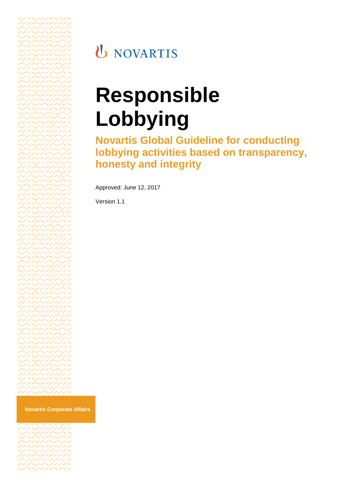

## **U** NOVARTIS

# **Responsible Lobbying**

**Novartis Global Guideline for conducting lobbying activities based on transparency, honesty and integrity**

Approved: June 12, 2017

Version 1.1

**Novartis Corporate Affairs**

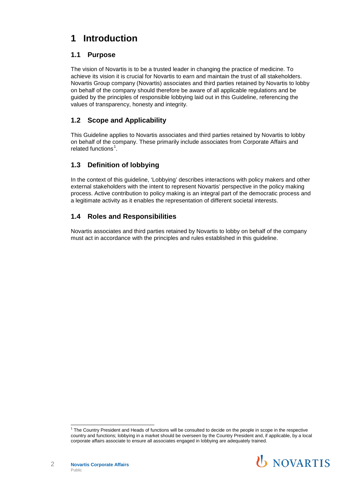## **1 Introduction**

### **1.1 Purpose**

The vision of Novartis is to be a trusted leader in changing the practice of medicine. To achieve its vision it is crucial for Novartis to earn and maintain the trust of all stakeholders. Novartis Group company (Novartis) associates and third parties retained by Novartis to lobby on behalf of the company should therefore be aware of all applicable regulations and be guided by the principles of responsible lobbying laid out in this Guideline, referencing the values of transparency, honesty and integrity.

## **1.2 Scope and Applicability**

This Guideline applies to Novartis associates and third parties retained by Novartis to lobby on behalf of the company. These primarily include associates from Corporate Affairs and related functions<sup>[1](#page-1-0)</sup>.

## **1.3 Definition of lobbying**

In the context of this guideline, 'Lobbying' describes interactions with policy makers and other external stakeholders with the intent to represent Novartis' perspective in the policy making process. Active contribution to policy making is an integral part of the democratic process and a legitimate activity as it enables the representation of different societal interests.

## **1.4 Roles and Responsibilities**

Novartis associates and third parties retained by Novartis to lobby on behalf of the company must act in accordance with the principles and rules established in this guideline.

<span id="page-1-0"></span> <sup>1</sup> The Country President and Heads of functions will be consulted to decide on the people in scope in the respective country and functions; lobbying in a market should be overseen by the Country President and, if applicable, by a local corporate affairs associate to ensure all associates engaged in lobbying are adequately trained.

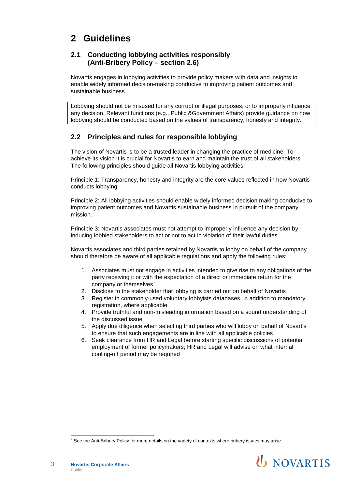## **2 Guidelines**

#### **2.1 Conducting lobbying activities responsibly (Anti-Bribery Policy – section 2.6)**

Novartis engages in lobbying activities to provide policy makers with data and insights to enable widely informed decision-making conducive to improving patient outcomes and sustainable business.

Lobbying should not be misused for any corrupt or illegal purposes, or to improperly influence any decision. Relevant functions (e.g., Public &Government Affairs) provide guidance on how lobbying should be conducted based on the values of transparency, honesty and integrity.

#### **2.2 Principles and rules for responsible lobbying**

The vision of Novartis is to be a trusted leader in changing the practice of medicine. To achieve its vision it is crucial for Novartis to earn and maintain the trust of all stakeholders. The following principles should guide all Novartis lobbying activities:

Principle 1: Transparency, honesty and integrity are the core values reflected in how Novartis conducts lobbying.

Principle 2: All lobbying activities should enable widely informed decision making conducive to improving patient outcomes and Novartis sustainable business in pursuit of the company mission.

Principle 3: Novartis associates must not attempt to improperly influence any decision by inducing lobbied stakeholders to act or not to act in violation of their lawful duties.

Novartis associates and third parties retained by Novartis to lobby on behalf of the company should therefore be aware of all applicable regulations and apply the following rules:

- 1. Associates must not engage in activities intended to give rise to any obligations of the party receiving it or with the expectation of a direct or immediate return for the company or themselves<sup>[2](#page-2-0)</sup>
- 2. Disclose to the stakeholder that lobbying is carried out on behalf of Novartis
- 3. Register in commonly-used voluntary lobbyists databases, in addition to mandatory registration, where applicable
- 4. Provide truthful and non-misleading information based on a sound understanding of the discussed issue
- 5. Apply due diligence when selecting third parties who will lobby on behalf of Novartis to ensure that such engagements are in line with all applicable policies
- 6. Seek clearance from HR and Legal before starting specific discussions of potential employment of former policymakers; HR and Legal will advise on what internal cooling-off period may be required

<span id="page-2-0"></span> $2$  See the Anti-Bribery Policy for more details on the variety of contexts where bribery issues may arise.